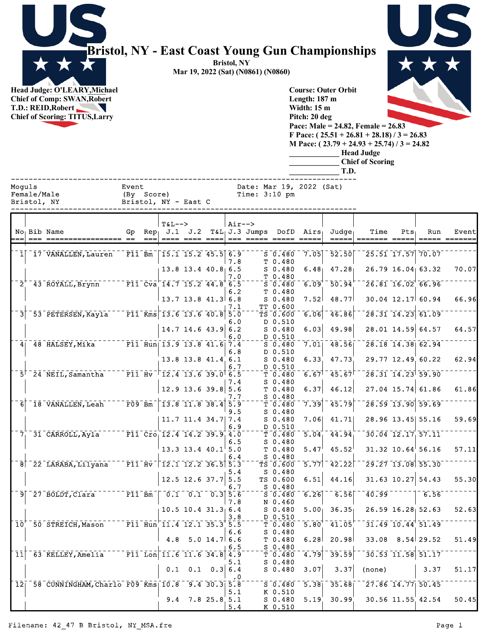

## **Bristol, NY - East Coast Young Gun Championships**

**Bristol, NY Mar 19, 2022 (Sat) (N0861) (N0860)**

**Head Judge: O'LEARY,Michael Chief of Comp: SWAN,Robert T.D.: REID,Robert A Chief of Scoring: TITUS,Larry** 



**Pitch: 20 deg Pace: Male = 24.82, Female = 26.83 F Pace: ( 25.51 + 26.81 + 28.18) / 3 = 26.83 M Pace: ( 23.79 + 24.93 + 25.74) / 3 = 24.82**

**\_\_\_\_\_\_\_\_\_\_\_\_\_ Head Judge \_\_\_\_\_\_\_\_\_\_\_\_\_ Chief of Scoring**

**\_\_\_\_\_\_\_\_\_\_\_\_\_ T.D.**

**Course: Outer Orbit Length: 187 m Width: 15 m**

| Moquls          | Bristol, NY | Female/Male<br>Bristol, NY - East C                         | Event       | (By Score)                                                                                                 |                                  |                  | Date: Mar 19, 2022 (Sat)<br>Time: $3:10$ pm                                                |                                                                                  |                           |                                      |                                                                                                                           |         |                                                                                                |                              |
|-----------------|-------------|-------------------------------------------------------------|-------------|------------------------------------------------------------------------------------------------------------|----------------------------------|------------------|--------------------------------------------------------------------------------------------|----------------------------------------------------------------------------------|---------------------------|--------------------------------------|---------------------------------------------------------------------------------------------------------------------------|---------|------------------------------------------------------------------------------------------------|------------------------------|
|                 |             | No Bib Name                                                 | ==== == === | $T&L-->$                                                                                                   |                                  | Air-->           | Gp Rep, J.1 J.2 T&L, J.3 Jumps DofD Airs,<br><u> ==== ==== ====  === ===== ===== =====</u> |                                                                                  |                           | $Ju$ dqe<br>$=$ $=$ $=$ $=$          | Time<br>$=$ ====== =====                                                                                                  | $Pts_1$ | Run                                                                                            | Event<br>$=$ ==== $=$ ====== |
|                 |             | 1 17 VANALLEN, Lauren                                       |             | $\overline{F11} \overline{Bm} \overline{m} \overline{15.1} \overline{15.2} \overline{45.5} \overline{6.9}$ |                                  | 7.8              |                                                                                            | $S_0.480$<br>T 0.480                                                             | 7.05                      | 52.50                                |                                                                                                                           |         | $\left\lceil 25.51 \right\rceil \left\lceil 17.57 \right\rceil \left\lceil 70.07 \right\rceil$ |                              |
|                 |             |                                                             |             |                                                                                                            | $13.8$ 13.4 40.8 6.5             | 7.0              |                                                                                            | $S$ 0.480<br>T 0.480                                                             |                           | $6.48$ $47.28$                       |                                                                                                                           |         | $26.79$ 16.04 63.32                                                                            | 70.07                        |
|                 |             | 2 44.8 6.5                                                  |             |                                                                                                            | 13.7 13.8 41.3 6.8               | 6.2              |                                                                                            | $\overline{\text{S}}$ $\overline{\text{0.480}}$<br>T <sub>0.480</sub><br>S 0.480 | 7.52                      | $6.09 - 50.94$<br>48.77              |                                                                                                                           |         | $\sqrt{26.81}$ $\sqrt{16.02}$ $\sqrt{66.96}$<br>$30.04$ 12.17 60.94                            | 66.96                        |
| $\overline{3}$  |             | 53 PETERSEN, Kayla                                          |             | $\sqrt{11 \text{ K}}$ ms 13.6 13.6 40.8 5.0                                                                |                                  | 7.1              |                                                                                            | TT 0.600<br>TS 0.600<br>D 0.510                                                  | 6.06                      | 46.86                                |                                                                                                                           |         | $\overline{28.31}$ $\overline{14.23}$ $\overline{61.09}$                                       |                              |
|                 |             |                                                             |             |                                                                                                            | $14.7$ 14.6 43.9 6.2             | 6.0<br>6.0       |                                                                                            | $S$ 0.480<br>$D_0.510$                                                           | 6.03                      | 49.98                                |                                                                                                                           |         | $28.01$ 14.59 64.57                                                                            | 64.57                        |
|                 |             | 4 48 HALSEY, Mika F11 Hun 13.9 13.8 41.6 7.4                |             |                                                                                                            | $13.8$ 13.8 41.4 6.1             | 6.8              |                                                                                            | S 0.480<br>D 0.510<br>$S$ 0.480                                                  | 6.33                      | 47.73                                | $7.01$ <sup>28.56</sup> <sup>28.18</sup> 14.38 <sup>62.94</sup><br>29.77 12.49 60.22                                      |         |                                                                                                | 62.94                        |
|                 |             | $5^{\dagger}$ 24 NEIL, Samantha F11 Hv $12.4$ 13.6 39.0 6.5 |             |                                                                                                            |                                  | 6.7              |                                                                                            | D 0.510<br>T0.480                                                                |                           |                                      | $-6.67$ <sup>1</sup> $-45.67$ <sup>1-</sup> $-28.31$ $-14.23$ <sup>1</sup> 59.90 <sup>-1</sup>                            |         |                                                                                                |                              |
|                 |             |                                                             |             |                                                                                                            | $12.9$ 13.6 39.8 5.6             | 7.4<br>7.7       |                                                                                            | $S$ 0.480<br>$T$ 0.480<br>$S$ 0.480                                              | 6.37                      | 46.12                                |                                                                                                                           |         | $27.04$ 15.74 61.86                                                                            | 61.86                        |
| 6 <sup>1</sup>  |             | $18$ VANALLEN, Leah $13.8$ 11.8 38.4 5.9                    |             |                                                                                                            | $11.7$ 11.4 34.7 7.4             | 9.5              |                                                                                            | T 0.480<br>$S$ 0.480<br>S 0.480                                                  | 7.39<br>7.06              | $\overline{45.79}$<br>41.71          |                                                                                                                           |         | $\sqrt{28.59}$ 13.90 59.69<br>28.96 13.45 55.16                                                | 59.69                        |
|                 |             | 7 31 CARROLL, Ayla F11 Cro 12.4 14.2 39.9 4.0               |             |                                                                                                            |                                  | 6.9              |                                                                                            | D 0.510<br>$-\bar{\tau}$ $\bar{0}$ $\bar{4}80$                                   |                           | $\overline{5.04}$ $\overline{44.94}$ |                                                                                                                           |         | $-30.04 - 12.17 - 57.11$                                                                       |                              |
|                 |             |                                                             |             |                                                                                                            | $13.3$ 13.4 40.1 5.0             | 6.5<br>6.4       |                                                                                            | S 0.480<br>T 0.480<br>$S$ 0.480                                                  | 5.47                      | 45.52                                |                                                                                                                           |         | $31.32$ 10.64 56.16                                                                            | 57.11                        |
|                 |             | $-8$ $-22$ LARABA, Lilyana $-711$ Hv $-12.1$ 12.2 36.5 5.3  |             |                                                                                                            |                                  | 5.4              |                                                                                            | $\bar{T}S$ $\bar{0}$ $\bar{0}$ $\bar{0}$ $\bar{0}$<br>S 0.480                    | $\overline{5.77}$         | $\overline{42.22}$                   |                                                                                                                           |         | $\sqrt{29.27}$ $\sqrt{13.08}$ 55.30                                                            |                              |
|                 |             | $9$ $27$ BOLDT, Clara F11 Bm $0.1$ 0.1 0.3 5.6              |             |                                                                                                            | $12.5$ 12.6 37.7 5.5             | 6.7              |                                                                                            | TS 0.600<br>$S_0$ . 480<br>$S = 0.480$                                           | 6.51<br>$\overline{6.26}$ | 44.16<br>$^{-1}$ 6.56 $^{\circ}$     | $\overline{40.99}$ $^{-1}$                                                                                                |         | $31.63$ 10.27 54.43<br>$7 - 6.56$                                                              | 55.30                        |
|                 |             |                                                             |             |                                                                                                            | $10.5$ 10.4 31.3 6.4             | 7.8<br>3.8       |                                                                                            | N 0.460<br>S 0.480<br>D 0.510                                                    |                           | $5.00$ 36.35                         |                                                                                                                           |         | $26.59$ $16.28$ 52.63                                                                          | 52.63                        |
|                 |             | $10^{+}$ 50 STREICH, Mason F11 Hun 11.4 12.1 35.3 5.5       |             |                                                                                                            |                                  | 6.6              |                                                                                            | $T$ 0.480<br>$S_0.480$                                                           |                           |                                      | $\overline{5.80}$ <sup>+</sup> $\overline{41.05}$ <sup>+ -</sup> $\overline{31.49}$ $\overline{10.44}$ $\overline{51.49}$ |         |                                                                                                |                              |
| $\overline{11}$ |             | 63 KELLEY, Amelia                                           |             | F11 Lon 11.6 11.6 34.8 4.9                                                                                 | $4.8$ 5.0 14.7 6.6               | 6.5              |                                                                                            | T 0.480<br>$S$ 0.480<br>$\bar{T}$ $\bar{0}$ $\bar{4}80$                          | 6.28<br>4.79              | 20.98<br>39.59                       | 33.08                                                                                                                     |         | $8.54$ 29.52<br>30.53 11.58 51.17                                                              | 51.49                        |
|                 |             |                                                             |             |                                                                                                            | $0.1 \quad 0.1 \quad 0.3 \, 6.4$ | 5.1<br>$\cdot$ 0 |                                                                                            | $S_0.480$<br>$S$ 0.480                                                           | 3.07                      | 3.37                                 | (none)                                                                                                                    |         | 3.37                                                                                           | 51.17                        |
|                 |             | 12 58 CUNNINGHAM, Charlo F09 Kms 10.8 9.4 30.3 5.8          |             |                                                                                                            |                                  | 5.1              |                                                                                            | $5 - 0.480$<br>K 0.510                                                           | 5.38                      | 35.68                                |                                                                                                                           |         | $\sqrt{27.86}$ $\sqrt{14.77}$ 50.45                                                            |                              |
|                 |             |                                                             |             |                                                                                                            | $9.4$ 7.8 25.8 5.1               | 5.4              |                                                                                            | $S$ 0.480<br>K 0.510                                                             | 5.19                      | 30.99                                |                                                                                                                           |         | 30.56 11.55 42.54                                                                              | 50.45                        |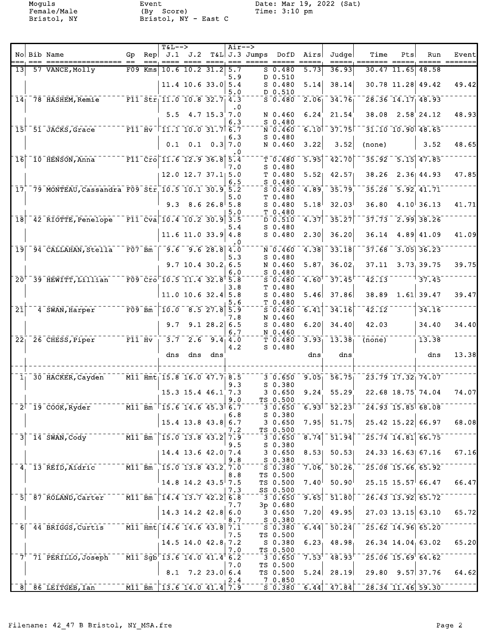Female/Male (By Score) Time: 3:10 pm Bristol, NY Bristol, NY - East C

Moguls Event Date: Mar 19, 2022 (Sat)<br>
Eemale/Male (By Score) - Time: 3:10 pm

|                 |                                                                                                                                      |                                  |           | $T&L-->$ |                                                                                                    |         | $Air--$   |                      |                                                       |                     |                                                               |                                                                                   |               |                                              |                            |
|-----------------|--------------------------------------------------------------------------------------------------------------------------------------|----------------------------------|-----------|----------|----------------------------------------------------------------------------------------------------|---------|-----------|----------------------|-------------------------------------------------------|---------------------|---------------------------------------------------------------|-----------------------------------------------------------------------------------|---------------|----------------------------------------------|----------------------------|
|                 | No Bib Name                                                                                                                          | Gp                               |           |          | Rep $J.1$ $J.2$<br>$\qquad \qquad \text{where} \quad \text{=} \text{=} \text{=} \text{ } \text{ }$ |         |           | $==  =  =  =  =  = $ | T&L J.3 Jumps DofD                                    | Airs                | Judge                                                         | Time                                                                              | Pts           | Run                                          | Event                      |
| 13 <sup>l</sup> | 57 VANCE, Molly                                                                                                                      |                                  | $F09$ Kms |          | $10.6$ 10.2 31.2                                                                                   |         | 5.7       |                      | $S_0.480$                                             | 5.73                | 36.93                                                         |                                                                                   | $30.47$ 11.65 | 48.58                                        |                            |
|                 |                                                                                                                                      |                                  |           |          | $11.4$ 10.6 33.0 5.4                                                                               |         | 5.9       |                      | D 0.510<br>$S$ 0.480                                  | 5.14                | 38.14                                                         |                                                                                   |               | 30.78 11.28 49.42                            | 49.42                      |
|                 |                                                                                                                                      |                                  |           |          |                                                                                                    |         | 5.0       |                      | D 0.510                                               |                     |                                                               |                                                                                   |               |                                              |                            |
|                 | $14-78$ HASHEM, Remie                                                                                                                |                                  |           |          | $F11 \overline{str}$ 11.0 10.8 32.7 4.3                                                            |         | $\cdot$ 0 |                      | $5 - 0.480$                                           | 2.06                | 34.76                                                         |                                                                                   |               | $28.36$ 14.17 48.93                          |                            |
|                 |                                                                                                                                      |                                  |           |          | $5.5 \quad 4.7 \quad 15.3 \quad 7.0$                                                               |         | 6.3       |                      | N 0.460<br>$S$ 0.480                                  | 6.24                | 21.54                                                         |                                                                                   |               | $38.08$ $2.58$ 24.12                         | 48.93                      |
|                 | 15 51 JACKS, Grace F11 Hv 11.1 10.0 31.7 6.7                                                                                         |                                  |           |          |                                                                                                    |         |           |                      | N 0.460                                               | 6.10                | 37.75                                                         |                                                                                   |               | $31.10 - 10.90$ 48.65                        |                            |
|                 |                                                                                                                                      |                                  |           |          | $0.1 \quad 0.1 \quad 0.3 \mid 7.0$                                                                 |         | 6.3       |                      | $S_0.480$<br>N 0.460                                  | 3.22                | 3.52                                                          | (none)                                                                            |               | 3.52                                         | 48.65                      |
|                 |                                                                                                                                      |                                  |           |          |                                                                                                    |         | . 0       |                      |                                                       |                     |                                                               | $35.92$ <sup>-</sup>                                                              |               | $5.15$ 47.85                                 |                            |
| 16              | $10$ HENSON, Anna $10$ F11 Cro 11.6 12.9 36.8 5.4                                                                                    |                                  |           |          |                                                                                                    |         | 7.0       |                      | $\bar{\tau}$ $\bar{0}$ .480 $\bar{\tau}$<br>$S$ 0.480 | 5.95                | $\bar{42.70}$                                                 |                                                                                   |               |                                              |                            |
|                 |                                                                                                                                      |                                  |           |          | 12.0 12.7 37.1 5.0                                                                                 |         | 6.5       |                      | T 0.480<br>$S$ 0.480                                  | 5.52                | 42.57                                                         |                                                                                   |               | 38.26 2.36 44.93                             | 47.85                      |
| 17.             | 79 MONTEAU, Cassandra F09 Str 10.5 10.1 30.9 5.2                                                                                     |                                  |           |          |                                                                                                    |         |           |                      | $5 - 0.480$                                           | 4.89                | 35.79                                                         |                                                                                   |               | $35.28 - 5.92$ 41.71                         |                            |
|                 |                                                                                                                                      |                                  |           |          | $9.3$ 8.6 26.8 5.8                                                                                 |         | 5.0       |                      | T 0.480<br>$S$ 0.480                                  | 5.18                | 32.03                                                         | 36.80                                                                             |               | $4.10^{+}36.13$                              | 41.71                      |
| 18              | 42 RIOTTE, Penelope                                                                                                                  |                                  |           |          | $\sqrt{11}$ Cva 10.4 10.2 30.9 3.5                                                                 |         | 5.0       |                      | T 0.480<br>D 0.510                                    | 4.37                | 35.27                                                         | 37.73                                                                             |               | $\sqrt{2.99}$ 38.26                          |                            |
|                 |                                                                                                                                      |                                  |           |          |                                                                                                    |         | 5.4       |                      | $S$ 0.480                                             |                     |                                                               |                                                                                   |               |                                              |                            |
|                 |                                                                                                                                      |                                  |           |          | $11.6$ 11.0 33.9 4.8                                                                               |         | . 0       |                      | $S$ 0.480                                             | 2.30                | 36.20                                                         | 36.14                                                                             |               | 4.89 41.09                                   | 41.09                      |
|                 | 19 94 CALLAHAN, Stella                                                                                                               |                                  |           |          | $\sqrt{507}$ Bm $\sqrt{9.6}$ $\sqrt{9.6}$ 28.8 4.0                                                 |         |           |                      | N 0.460                                               | $-4.38$             | 33.18                                                         |                                                                                   |               | $37.68 - 3.05$ 36.23                         |                            |
|                 |                                                                                                                                      |                                  |           |          | $9.7$ 10.4 30.2 6.5                                                                                |         | 5.3       |                      | $S_0.480$<br>N 0.460                                  | 5.87 <sub>1</sub>   | 36.02                                                         | 37.11                                                                             |               | 3.73, 39.75                                  | 39.75                      |
|                 | $20†$ 39 $H$ EWITT, Lillian                                                                                                          |                                  |           |          | $^{-1}$ F09 $^{-}$ Cro $^{-}$ 10.5 11.4 32.8 $^{\dagger}$ 5.8                                      |         | 6.0       |                      | $S_0.480$<br>$S = 0.480$                              | $4.60$ <sup>T</sup> | 37.45                                                         | $\overline{42.13}$                                                                |               | 37.45                                        |                            |
|                 |                                                                                                                                      |                                  |           |          |                                                                                                    |         | 3.8       |                      | T 0.480                                               |                     |                                                               |                                                                                   |               |                                              |                            |
|                 |                                                                                                                                      |                                  |           |          | 11.0 10.6 32.4 5.8                                                                                 |         | 5.6       |                      | $S_0.480$<br>T 0.480                                  | 5.46                | 37.86                                                         | 38.89                                                                             |               | $1.61$ 39.47                                 | 39.47                      |
| $\overline{21}$ | 4 SWAN, Harper                                                                                                                       | $\overline{F09}$ $\overline{Bm}$ |           |          | $10.0$ $8.5$ $27.8$ $5.9$                                                                          |         |           |                      | $S = 0.480$                                           | 6.41                | 34.16                                                         | $\overline{42.12}$                                                                |               | 34.16                                        |                            |
|                 |                                                                                                                                      |                                  |           |          | $9.7$ $9.1$ $28.2$ 6.5                                                                             |         | 7.8       |                      | N 0.460<br>$S_0.480$                                  | 6.20                | 34.40                                                         | 42.03                                                                             |               | 34.40                                        | 34.40                      |
|                 | $22^{-26}$ CHESS, Piper F11 Hv                                                                                                       |                                  |           |          | $\overline{3.7}$ $\overline{2.6}$ $\overline{9.4}$ $\overline{4.0}$                                |         | 6.7       |                      | N 0.460<br>T <sub>0.480</sub>                         | 3.93 <sub>1</sub>   | $\left\lceil \bar{1}\bar{3}\bar{.}\bar{3}\bar{8}\right\rceil$ | $\overline{(\text{none})}$                                                        |               | $-13.38$                                     |                            |
|                 |                                                                                                                                      |                                  |           |          |                                                                                                    |         | 4.2       |                      | $S_0.480$                                             |                     |                                                               |                                                                                   |               |                                              |                            |
|                 |                                                                                                                                      |                                  |           | dns      |                                                                                                    | dns dns |           |                      |                                                       | dns                 | dns                                                           |                                                                                   |               | dns                                          | 13.38                      |
|                 | 1 30 HACKER, Cayden M11 Hmt 15.8 16.0 47.7 8.5                                                                                       |                                  |           |          |                                                                                                    |         |           |                      | $3 - 0.650$                                           |                     | $9.05 - 56.75$                                                |                                                                                   |               | $\sqrt{23.79}$ $\sqrt{17.32}$ $\sqrt{74.07}$ |                            |
|                 |                                                                                                                                      |                                  |           |          |                                                                                                    |         | 9.3       |                      | $S$ 0.380                                             |                     |                                                               |                                                                                   |               |                                              |                            |
|                 |                                                                                                                                      |                                  |           |          | $15.3$ $15.4$ $46.1$ 7.3                                                                           |         | 9.0       |                      | 30.650<br>TS 0.500                                    | 9.24                | 55.29                                                         |                                                                                   |               | 22.68 18.75 74.04                            | 74.07                      |
|                 | $2^{\dagger}$ 19 $\bar{c}$ 00K, Ryder $\bar{M}$ 11 Bm $\bar{1}$ 5.6 14.6 45.3 6.7 $\bar{c}$ 3 0.650                                  |                                  |           |          |                                                                                                    |         |           |                      | S 0.380                                               |                     |                                                               | $6.93$ <sup>1</sup> $52.23$ <sup>1</sup> $24.93$ $15.85$ 68.08                    |               |                                              |                            |
|                 |                                                                                                                                      |                                  |           |          | $15.4$ 13.8 43.8 6.7                                                                               |         | 6.8       |                      | 3 0.650                                               | 7.95                |                                                               | $51.75$ 25.42 15.22 66.97                                                         |               |                                              | 68.08                      |
|                 | $3^{+14}$ SWAN, Cody <sup>---------</sup> M11 Bm <sup>-</sup> 15.0 13.8 43.2 7.9                                                     |                                  |           |          |                                                                                                    |         | 7.2       |                      | TS 0.500<br>$\frac{-5 - 650}{30.650}$ 8.74            |                     |                                                               | $-51.94$ $-25.74$ $14.81$ 66.75                                                   |               |                                              |                            |
|                 |                                                                                                                                      |                                  |           |          |                                                                                                    |         | 9.5       |                      | S 0.380                                               |                     |                                                               |                                                                                   |               |                                              |                            |
|                 |                                                                                                                                      |                                  |           |          | 14.4 13.6 42.0 7.4                                                                                 |         | 9.8       |                      | 3 0.650<br>S 0.380                                    | 8.53                | 50.53                                                         |                                                                                   |               | 24.33 16.63 67.16                            | 67.16                      |
|                 | $4^{+1}_{-}$ 13 REID, Aidric $M1$ Bm $15.0$ 13.8 43.2 7.0                                                                            |                                  |           |          |                                                                                                    |         | 8.8       |                      | $-5 - 380$<br>TS 0.500                                |                     |                                                               | 7.06 50.26 25.08 15.66 65.92                                                      |               |                                              |                            |
|                 |                                                                                                                                      |                                  |           |          | $14.8$ 14.2 $43.5$ 7.5                                                                             |         |           |                      | TS 0.500                                              | 7.40 <sup>1</sup>   | $50.90^\dagger$                                               |                                                                                   |               | $25.15$ $15.57$ 66.47                        | 66.47                      |
|                 | $5 - 87$ ROLAND, Carter $\overline{M11Bm}$ $\overline{14.4}$ 13.7 42.2 6.8                                                           |                                  |           |          |                                                                                                    |         | 7.3       |                      | SS 0.500<br>$-3 - 0.650$                              |                     |                                                               | $\overline{9.65}$ <sup>-</sup> $\overline{51.80}$ <sup>--</sup> 26.43 13.92 65.72 |               |                                              |                            |
|                 |                                                                                                                                      |                                  |           |          | $14.3$ 14.2 42.8 6.0                                                                               |         | 7.7       |                      | 3p 0.680<br>30.650                                    | 7.20                | 49.95                                                         |                                                                                   |               | $27.03$ 13.15 63.10                          | 65.72                      |
|                 |                                                                                                                                      |                                  |           |          |                                                                                                    |         | 8.7       |                      | $S_0$ - $S_0$ - 380                                   |                     |                                                               |                                                                                   |               |                                              |                            |
|                 | 6 44 BRIGGS, Curtis M11 Hmt 14.6 14.6 43.8 7.1                                                                                       |                                  |           |          |                                                                                                    |         | 7.5       |                      | $-5 - 380$<br>TS 0.500                                |                     |                                                               | $6.44$ $50.24$ $725.62$ $14.96$ 65.20                                             |               |                                              |                            |
|                 |                                                                                                                                      |                                  |           |          | 14.5 14.0 $42.8$ , 7.2                                                                             |         |           |                      | S 0.380                                               |                     |                                                               | $6.23$ 48.98 26.34 14.04 63.02 65.20                                              |               |                                              |                            |
|                 | $-7$ <sup>+-</sup> 71 PERILLO,Joseph M11 Sgb 13.6 14.0 41.4 6.21                                                                     |                                  |           |          |                                                                                                    |         | 7.0       |                      | TS 0.500<br>$-3 - 0.650$                              |                     |                                                               | $7.53^{\dagger}$ 48.93 $^{\dagger}$ - 25.06 15.69 64.62                           |               |                                              |                            |
|                 |                                                                                                                                      |                                  |           |          | $8.1$ 7.2 23.0 6.4                                                                                 |         | 7.0       |                      | TS 0.500<br>TS 0.500                                  | 5.24                | 28.19                                                         |                                                                                   |               |                                              | $29.80$ $9.57$ 37.76 64.62 |
|                 |                                                                                                                                      |                                  |           |          |                                                                                                    |         | 2.4       |                      | 7 0.850                                               |                     |                                                               |                                                                                   |               |                                              |                            |
|                 | $8$ <sup>-</sup> 86 <sup>-</sup> LEITGEB, Ian $11$ <sup>-Bm</sup> <sup>-</sup> 13.6 <sup>-14.0</sup> <sup>-41.4<sup>-7.5</sup></sup> |                                  |           |          |                                                                                                    |         |           |                      |                                                       |                     |                                                               | $-5.380$ 6.44 47.84 $-28.34$ 11.46 59.30                                          |               |                                              |                            |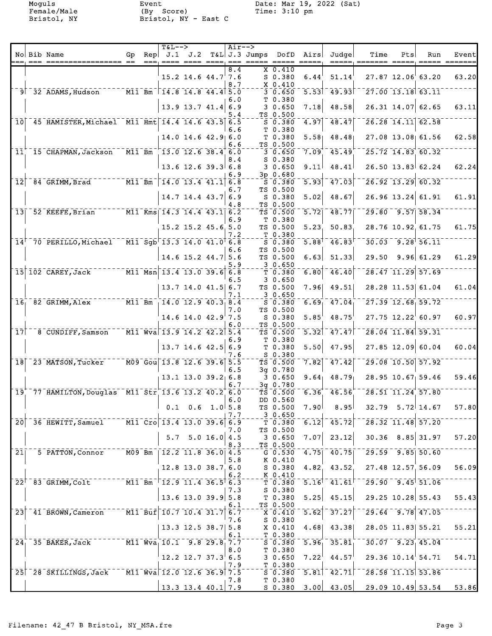Female/Male (By Score) Time: 3:10 pm Bristol, NY Bristol, NY - East C

Moguls Event Date: Mar 19, 2022 (Sat)<br>
Eemale/Male (By Score) - Time: 3:10 pm

|                            |                                                               |    |     | <b>T&amp;L--&gt;</b> |                                                                                                            | $Air--$    |                               |                                   |                                                         |                                                                  |                                                                              |     |                                                          |       |
|----------------------------|---------------------------------------------------------------|----|-----|----------------------|------------------------------------------------------------------------------------------------------------|------------|-------------------------------|-----------------------------------|---------------------------------------------------------|------------------------------------------------------------------|------------------------------------------------------------------------------|-----|----------------------------------------------------------|-------|
|                            | No Bib Name                                                   | Gp | Rep |                      |                                                                                                            |            | $J.1$ $J.2$ $T&L$ $J.3$ Jumps | DofD                              | Airs                                                    | Judge                                                            | Time                                                                         | Pts | Run                                                      | Event |
|                            |                                                               |    |     |                      |                                                                                                            | 8.4        |                               | $X$ 0.410                         | $\qquad \qquad \doteq\qquad \qquad \doteq\qquad \qquad$ |                                                                  | =====, ======= =====, ===== =======                                          |     |                                                          |       |
|                            |                                                               |    |     |                      | $15.2$ 14.6 44.7 7.6                                                                                       |            |                               | $S$ 0.380                         | 6.44                                                    | 51.14                                                            |                                                                              |     | 27.87 12.06 63.20                                        | 63.20 |
|                            |                                                               |    |     |                      |                                                                                                            | 8.7        |                               | X 0.410                           |                                                         |                                                                  |                                                                              |     |                                                          |       |
|                            | 9 32 ADAMS, Hudson M11 Bm 14.8 14.8 44.4 5.0                  |    |     |                      |                                                                                                            |            |                               | $3 - 0.650$                       |                                                         | $5.53$ <sup>-</sup> $49.93$                                      |                                                                              |     | $27.00$ 13.18 63.11                                      |       |
|                            |                                                               |    |     |                      |                                                                                                            | 6.0        |                               | T 0.380                           |                                                         |                                                                  |                                                                              |     |                                                          |       |
|                            |                                                               |    |     |                      | $13.9$ 13.7 41.4                                                                                           | 6.9        |                               | 30.650                            | 7.18                                                    | 48.58                                                            |                                                                              |     | 26.31 14.07 62.65                                        | 63.11 |
|                            |                                                               |    |     |                      |                                                                                                            | 5.4        |                               | TS 0.500                          |                                                         |                                                                  |                                                                              |     |                                                          |       |
|                            | 10 45 HAMISTER, Michael M11 Hmt 14.4 14.6 43.5 6.5            |    |     |                      |                                                                                                            |            |                               | $S$ 0.380                         |                                                         | $4.97$ $48.47$                                                   |                                                                              |     | $26.28$ 14.11 62.58                                      |       |
|                            |                                                               |    |     |                      |                                                                                                            | 6.6        |                               | T 0.380                           |                                                         | $5.58$ 48.48                                                     |                                                                              |     |                                                          |       |
|                            |                                                               |    |     |                      | 14.0 14.6 42.9 6.0                                                                                         | 6.6        |                               | T 0.380<br>TS 0.500               |                                                         |                                                                  |                                                                              |     | 27.08 13.08 61.56                                        | 62.58 |
| 11                         | <sup>-</sup> 15 <sup>-</sup> CHAPMAN, Jackson                 |    |     |                      | $\sqrt{11.5}$ $\overline{B}$ $\overline{m}$ $\sqrt{13.0}$ $\overline{12.6}$ $\overline{38.4}$ $\sqrt{6.0}$ |            |                               | 30.650                            | $7.09^{+}$                                              | 45.49                                                            |                                                                              |     | $25.72$ 14.83 60.32                                      |       |
|                            |                                                               |    |     |                      |                                                                                                            | 8.4        |                               | $S$ 0.380                         |                                                         |                                                                  |                                                                              |     |                                                          |       |
|                            |                                                               |    |     |                      | $13.6$ 12.6 39.3 6.8                                                                                       |            |                               | 30.650                            | 9.11                                                    | 48.41                                                            |                                                                              |     | $26.50$ 13.83 62.24                                      | 62.24 |
|                            |                                                               |    |     |                      |                                                                                                            | 6.9        |                               | 3p 0.680                          |                                                         |                                                                  |                                                                              |     |                                                          |       |
| $\overline{1}\overline{2}$ |                                                               |    |     |                      |                                                                                                            |            |                               | $S$ $0.380$                       | 5.93                                                    | 17.03                                                            |                                                                              |     | $26.92$ 13.29 60.32                                      |       |
|                            |                                                               |    |     |                      |                                                                                                            | 6.7        |                               | TS 0.500                          |                                                         |                                                                  |                                                                              |     |                                                          |       |
|                            |                                                               |    |     |                      | $14.7$ 14.4 43.7                                                                                           | 6.9<br>4.8 |                               | $S_0.380$<br>TS 0.500             | 5.02                                                    | 48.67                                                            |                                                                              |     | $26.96$ 13.24 61.91                                      | 61.91 |
|                            | 13 52 KEEFE, Brian M11 Kms 14.3 14.4 43.1 6.2                 |    |     |                      |                                                                                                            |            |                               | $TS$ $0.500$                      | 5.72                                                    | 148.77                                                           |                                                                              |     | $\sqrt{29.80}$ $\sqrt{9.57}$ 58.34                       |       |
|                            |                                                               |    |     |                      |                                                                                                            | 6.9        |                               | T 0.380                           |                                                         |                                                                  |                                                                              |     |                                                          |       |
|                            |                                                               |    |     |                      | 15.2 15.2 45.6 5.0                                                                                         |            |                               | TS 0.500                          | 5.23                                                    | 50.83                                                            |                                                                              |     | 28.76 10.92 61.75                                        | 61.75 |
|                            |                                                               |    |     |                      |                                                                                                            | 7.2        |                               | T 0.380                           |                                                         |                                                                  |                                                                              |     |                                                          |       |
|                            | $14^{\dagger}$ 70 PERILLO, Michael M11 Sgb 13.3 14.0 41.0 6.8 |    |     |                      |                                                                                                            |            |                               | S 0.380                           | $5.88$ <sup>T</sup>                                     | 46.83                                                            |                                                                              |     | $30.03 - 9.28$ $56.11$                                   |       |
|                            |                                                               |    |     |                      |                                                                                                            | 6.6        |                               | TS 0.500                          |                                                         |                                                                  |                                                                              |     |                                                          |       |
|                            |                                                               |    |     |                      | $14.6$ 15.2 $44.7$ 5.6                                                                                     |            |                               | TS 0.500                          | 6.63                                                    | 51.33                                                            | 29.50                                                                        |     | 9.96 61.29                                               | 61.29 |
|                            | 15 102 CAREY, Jack M11 Msn 13.4 13.0 39.6 6.8                 |    |     |                      |                                                                                                            | 5.9        |                               | 30.650<br>T 0.380                 |                                                         | $\overline{6.80}$ $\overline{46.40}$                             |                                                                              |     | $28.47$ 11.29 57.69                                      |       |
|                            |                                                               |    |     |                      |                                                                                                            | 6.5        |                               | 30.650                            |                                                         |                                                                  |                                                                              |     |                                                          |       |
|                            |                                                               |    |     |                      | $13.7$ 14.0 41.5 6.7                                                                                       |            |                               | TS 0.500                          |                                                         | $7.96$ 49.51                                                     |                                                                              |     | 28.28 11.53 61.04                                        | 61.04 |
|                            |                                                               |    |     |                      |                                                                                                            | 7.1        |                               | 30.650                            |                                                         |                                                                  |                                                                              |     |                                                          |       |
|                            | $16 - 82$ GRIMM, Alex $12 - 14$ , $0$ $12.9$ $40.3$ $8.4$     |    |     |                      |                                                                                                            |            |                               | $S = 0.380$                       | $6.69$ <sub>1</sub>                                     | $-47.04$                                                         |                                                                              |     | $27.39$ $12.68$ $59.72$                                  |       |
|                            |                                                               |    |     |                      |                                                                                                            | 7.0        |                               | TS 0.500                          |                                                         |                                                                  |                                                                              |     |                                                          |       |
|                            |                                                               |    |     |                      | $14.6$ 14.0 $42.9$ 7.5                                                                                     |            |                               | $S$ 0.380                         | 5.85'                                                   | 48.75                                                            |                                                                              |     | $27.75$ $12.22$ 60.97                                    | 60.97 |
| $\bar{1}\bar{7}$ $\bar{1}$ |                                                               |    |     |                      | $\bar{M11} \bar{W} \bar{v}$ a 13.9 14.2 42.2 5.4                                                           | 6.0        |                               | TS 0.500                          | $\overline{5.32}$                                       | $-47.47$                                                         |                                                                              |     | $28.04$ 11.84 59.31                                      |       |
|                            | $8 - \overline{C}$ UNDIFF, Samson                             |    |     |                      |                                                                                                            | 6.9        |                               | TS 0.500<br>T 0.380               |                                                         |                                                                  |                                                                              |     |                                                          |       |
|                            |                                                               |    |     |                      | $13.7$ 14.6 42.5 6.9                                                                                       |            |                               | T 0.380                           | 5.50                                                    | 47.95                                                            |                                                                              |     | $27.85$ 12.09 60.04                                      | 60.04 |
|                            |                                                               |    |     |                      |                                                                                                            | 7.6        |                               | $S$ 0.380                         |                                                         |                                                                  |                                                                              |     |                                                          |       |
|                            | $18$ $-23$ $MATSON$ , Tucker                                  |    |     |                      | $-$ M09 Gou 13.8 12.6 39.6 5.5                                                                             |            |                               | TS 0.500                          |                                                         | $7.82$ <sup>-47.42</sup>                                         |                                                                              |     | $\sqrt{29.08}$ $\sqrt{10.50}$ $\sqrt{57.92}$             |       |
|                            |                                                               |    |     |                      |                                                                                                            | 6.5        |                               | $3q$ 0.780                        |                                                         |                                                                  |                                                                              |     |                                                          |       |
|                            |                                                               |    |     |                      | $13.1$ $13.0$ $39.2$ 6.8                                                                                   |            |                               | 30.650                            | 9.64                                                    | 48.79                                                            |                                                                              |     | 28.95 10.67 59.46                                        | 59.46 |
|                            |                                                               |    |     |                      |                                                                                                            | 6.7        |                               | 3g 0.780                          |                                                         |                                                                  |                                                                              |     |                                                          |       |
|                            | $19'$ 77 HAMILTON, Douglas M11 Str 13.6 13.2 40.2 6.0         |    |     |                      |                                                                                                            | 6.0        |                               | TS 0.500<br>DD 0.560              |                                                         | $6.36$ $46.56$                                                   |                                                                              |     | $\overline{28.51}$ $\overline{11.24}$ $\overline{57.80}$ |       |
|                            |                                                               |    |     |                      | $0.1 \quad 0.6 \quad 1.0 \, 5.8$                                                                           |            |                               | TS 0.500                          | 7.90 <sup>†</sup>                                       | 8.95                                                             |                                                                              |     | $32.79$ $5.72$ 14.67                                     | 57.80 |
|                            |                                                               |    |     |                      |                                                                                                            | 7.7        |                               | 30.650                            |                                                         |                                                                  |                                                                              |     |                                                          |       |
|                            | 20 36 HEWITT, Samuel 11 Cro 13.4 13.0 39.6 6.9                |    |     |                      |                                                                                                            |            |                               | $-\bar{\tau}$ $0.380$             |                                                         | $\left[ 6.12 \right]$ $\left[ 45.72 \right]$ $\left[ 12 \right]$ |                                                                              |     | $\sqrt{28.32}$ $\sqrt{11.48}$ $\sqrt{57.20}$             |       |
|                            |                                                               |    |     |                      |                                                                                                            | 7.0        |                               | TS 0.500                          |                                                         |                                                                  |                                                                              |     |                                                          |       |
|                            |                                                               |    |     |                      | $5.7$ 5.0 16.0 4.5                                                                                         |            |                               | 3 0.650                           |                                                         | $7.07$ 23.12                                                     |                                                                              |     | $30.36$ $8.85$ 31.97                                     | 57.20 |
|                            |                                                               |    |     |                      |                                                                                                            | 8.3        |                               | TS 0.500                          |                                                         |                                                                  |                                                                              |     |                                                          |       |
|                            | 21 5 PATTON, Connor M09 Bm   12.2 11.8 36.0 4.5               |    |     |                      |                                                                                                            | 5.8        |                               | K 0.410                           |                                                         |                                                                  | $G$ 0.530 4.75 40.75 29.59 9.85 50.60                                        |     |                                                          |       |
|                            |                                                               |    |     |                      | $12.8$ 13.0 38.7 6.0                                                                                       |            |                               | S 0.380                           |                                                         | $4.82$ , $43.52$                                                 | 27.48 12.57 56.09                                                            |     |                                                          | 56.09 |
|                            |                                                               |    |     |                      |                                                                                                            | 6.2        |                               | K 0.410                           |                                                         |                                                                  |                                                                              |     |                                                          |       |
|                            | $22^{\dagger}$ 83 GRIMM, Colt $12.9$ 11.4 36.5 6.3            |    |     |                      |                                                                                                            |            |                               | T 0.380                           |                                                         |                                                                  | $5.16$ <sup>1</sup> $41.61$ <sup>1</sup> $29.90$ $9.45$ <sup>1</sup> $51.06$ |     |                                                          |       |
|                            |                                                               |    |     |                      |                                                                                                            | 7.3        |                               | S 0.380                           |                                                         |                                                                  |                                                                              |     |                                                          |       |
|                            |                                                               |    |     |                      | $13.6$ 13.0 39.9 5.8                                                                                       |            |                               | T 0.380                           |                                                         | $5.25$ 45.15                                                     |                                                                              |     | $29.25$ 10.28 55.43                                      | 55.43 |
|                            | $23^{+2}41^{-}$ BROWN, Cameron M11 Buf 10.7 10.4 31.7 6.7     |    |     |                      |                                                                                                            | 6.1        |                               | TS 0.500                          |                                                         | $\overline{5.62}$ <sup>-</sup> $\overline{37.27}$                |                                                                              |     | $29.64 - 9.78$ $47.05$                                   |       |
|                            |                                                               |    |     |                      |                                                                                                            | 7.6        |                               | $\overline{X}$ 0.410<br>$S$ 0.380 |                                                         |                                                                  |                                                                              |     |                                                          |       |
|                            |                                                               |    |     |                      | $13.3$ 12.5 38.7 5.8                                                                                       |            |                               | X 0.410                           |                                                         | $4.68$ $43.38$                                                   |                                                                              |     | 28.05 11.83 55.21                                        | 55.21 |
|                            |                                                               |    |     |                      |                                                                                                            | 6.1        |                               | $T_{0.380}$                       |                                                         |                                                                  |                                                                              |     |                                                          |       |
|                            | $24^{+}_{1}$ 35 BAKER, Jack $10.1$ Will $10.1$ 9.8 29.8 7.7   |    |     |                      |                                                                                                            |            |                               |                                   |                                                         | $5\overline{0.380}$ $5.96$ $35.81$                               |                                                                              |     | $-30.07 - 9.23$ 45.04                                    |       |
|                            |                                                               |    |     |                      |                                                                                                            | 8.0        |                               | T 0.380                           |                                                         |                                                                  |                                                                              |     |                                                          |       |
|                            |                                                               |    |     |                      | $12.2$ 12.7 37.3 6.5                                                                                       |            |                               | 30.650                            |                                                         | $7.22^{\dagger}$ 44.57                                           |                                                                              |     | $29.36$ $10.14$ $54.71$                                  | 54.71 |
|                            |                                                               |    |     |                      |                                                                                                            | 7.9        |                               | $T_{0.380}$                       |                                                         |                                                                  |                                                                              |     |                                                          |       |
|                            | 25 28 SKILLINGS, Jack M11 Wva 12.0 12.6 36.9 7.5              |    |     |                      |                                                                                                            |            |                               |                                   |                                                         |                                                                  | $50.380 - 5.81 - 42.71$ $-28.58 - 11.15$ 53.86                               |     |                                                          |       |
|                            |                                                               |    |     |                      | $13.3$ 13.4 40.1 7.9                                                                                       | ⊤7.8       |                               | T 0.380                           |                                                         |                                                                  | $S$ 0.380 3.00 43.05 29.09 10.49 53.54 53.86                                 |     |                                                          |       |
|                            |                                                               |    |     |                      |                                                                                                            |            |                               |                                   |                                                         |                                                                  |                                                                              |     |                                                          |       |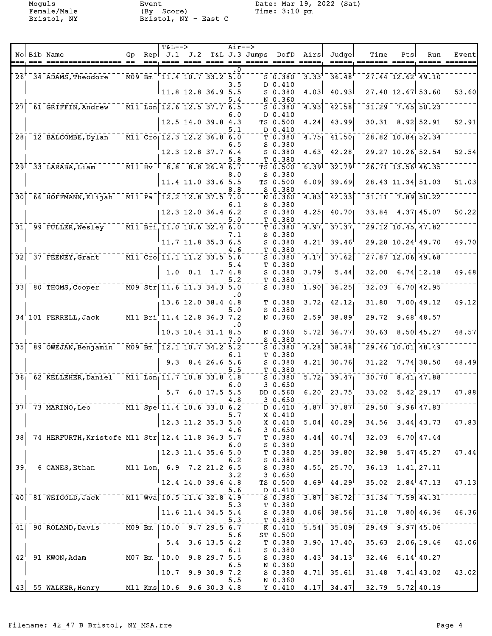Female/Male (By Score) Time: 3:10 pm Bristol, NY Bristol, NY - East C

Moguls Event Date: Mar 19, 2022 (Sat)<br>
Eemale/Male (By Score) - Time: 3:10 pm

|                  |                                                                                        |                                                     |      | <b>T&amp;L--&gt;</b>                                                                                                                                                                                                                                                                                                   |                                      | $Air--$    |                                  |                                                    |                    |                                                     |                                                                                                                                                                                                                                                                                                                     |     |                                                          |                                       |
|------------------|----------------------------------------------------------------------------------------|-----------------------------------------------------|------|------------------------------------------------------------------------------------------------------------------------------------------------------------------------------------------------------------------------------------------------------------------------------------------------------------------------|--------------------------------------|------------|----------------------------------|----------------------------------------------------|--------------------|-----------------------------------------------------|---------------------------------------------------------------------------------------------------------------------------------------------------------------------------------------------------------------------------------------------------------------------------------------------------------------------|-----|----------------------------------------------------------|---------------------------------------|
|                  | No Bib Name                                                                            | Gp<br>$=$                                           | $==$ | $\mathsf{Rep} \mathsf{J.1} \mathsf{J.2}$                                                                                                                                                                                                                                                                               |                                      |            | T&L J.3 Jumps<br>====, === ===== | DofD                                               | Airs<br>$== == ==$ | Judge                                               | Time<br>=====, ======= =====                                                                                                                                                                                                                                                                                        | Pts | Run                                                      | Event <br>$=$ $=$ $=$ $=$ $=$ $=$ $=$ |
|                  |                                                                                        |                                                     |      |                                                                                                                                                                                                                                                                                                                        |                                      | $\cdot$ 0  |                                  |                                                    |                    |                                                     |                                                                                                                                                                                                                                                                                                                     |     |                                                          |                                       |
|                  | $26+ - 34$ ADAMS, Theodore                                                             | $ \overline{\texttt{M09}}$ $\overline{\texttt{Bm}}$ |      | $\sqrt{11.4}$ 10.7 33.2 5.0                                                                                                                                                                                                                                                                                            |                                      | 3.5        |                                  | $S$ 0.380<br>D 0.410                               | 3.33               | 36.48                                               |                                                                                                                                                                                                                                                                                                                     |     | $\overline{27.44}$ $\overline{12.62}$ $\overline{49.10}$ |                                       |
|                  |                                                                                        |                                                     |      |                                                                                                                                                                                                                                                                                                                        | $11.8$ 12.8 36.9 5.5                 |            |                                  | $S$ 0.380                                          | 4.03               | 40.93                                               |                                                                                                                                                                                                                                                                                                                     |     | $27.40$ 12.67 53.60                                      | 53.60                                 |
|                  | 27 61 GRIFFIN, Andrew M11 Lon 12.6 12.5 37.7 6.5                                       |                                                     |      |                                                                                                                                                                                                                                                                                                                        |                                      | 5.4        |                                  | N 0.360<br>50.380                                  | 4.93               | $\overline{42.58}$                                  |                                                                                                                                                                                                                                                                                                                     |     | $31.29 - 7.65$ 50.23                                     |                                       |
|                  |                                                                                        |                                                     |      |                                                                                                                                                                                                                                                                                                                        |                                      | 6.0        |                                  | D 0.410                                            |                    |                                                     |                                                                                                                                                                                                                                                                                                                     |     |                                                          |                                       |
|                  |                                                                                        |                                                     |      |                                                                                                                                                                                                                                                                                                                        | $12.5$ 14.0 39.8 4.3                 |            |                                  | TS 0.500                                           | 4.24               | 43.99                                               |                                                                                                                                                                                                                                                                                                                     |     | $30.31$ $8.92$ 52.91                                     | 52.91                                 |
|                  | $28$ <sup><math>-12</math></sup> BALCOMBE, Dylan                                       |                                                     |      | $\overline{\text{M11 }} \text{Cro}$ $\overline{\text{12.3 }} \text{12.2 } 36.8$ 6.0                                                                                                                                                                                                                                    |                                      | 5.1        |                                  | D 0.410<br>T0.380                                  |                    | $4.75 - 41.50$                                      |                                                                                                                                                                                                                                                                                                                     |     | 28.82 10.84 52.34                                        |                                       |
|                  |                                                                                        |                                                     |      |                                                                                                                                                                                                                                                                                                                        |                                      | 6.5        |                                  | $S$ 0.380                                          |                    |                                                     |                                                                                                                                                                                                                                                                                                                     |     |                                                          |                                       |
|                  |                                                                                        |                                                     |      |                                                                                                                                                                                                                                                                                                                        | $12.3$ $12.8$ $37.7$ 6.4             | 5.8        |                                  | S 0.380<br>T 0.380                                 | 4.63               | 42.28                                               |                                                                                                                                                                                                                                                                                                                     |     | $29.27$ $10.26$ 52.54                                    | 52.54                                 |
|                  | 29 33 LARABA, Liam M11 Hv 7 8.8 8.8 26.4 6.7                                           |                                                     |      |                                                                                                                                                                                                                                                                                                                        |                                      |            |                                  | TS 0.500                                           | 6.39               | -32.791                                             |                                                                                                                                                                                                                                                                                                                     |     | $\sqrt{26.71}$ 13.56 46.35                               |                                       |
|                  |                                                                                        |                                                     |      |                                                                                                                                                                                                                                                                                                                        | $11.4$ 11.0 33.6 5.5                 | 8.0        |                                  | S 0.380<br>TS 0.500                                | 6.09               | 39.69                                               |                                                                                                                                                                                                                                                                                                                     |     | 28.43 11.34 51.03                                        | 51.03                                 |
|                  |                                                                                        |                                                     |      |                                                                                                                                                                                                                                                                                                                        |                                      | 8.8        |                                  | S 0.380                                            |                    |                                                     |                                                                                                                                                                                                                                                                                                                     |     |                                                          |                                       |
|                  | 30 66 HOFFMANN, Elijah M11 Pa                                                          |                                                     |      | $\top$ 12.2 12.8 37.5 7.0                                                                                                                                                                                                                                                                                              |                                      |            |                                  | N 0.360                                            | 4.83               | $\overline{42.33}$                                  |                                                                                                                                                                                                                                                                                                                     |     | $31.11 - 7.89$ $50.22$                                   |                                       |
|                  |                                                                                        |                                                     |      |                                                                                                                                                                                                                                                                                                                        | $12.3$ 12.0 36.4 6.2                 | 6.1        |                                  | $S$ 0.380<br>$S$ 0.380                             | 4.25               | 40.70                                               |                                                                                                                                                                                                                                                                                                                     |     | 33.84 4.37 45.07                                         | 50.22                                 |
|                  |                                                                                        |                                                     |      |                                                                                                                                                                                                                                                                                                                        |                                      | 5.0        |                                  | T 0.380                                            |                    |                                                     |                                                                                                                                                                                                                                                                                                                     |     |                                                          |                                       |
|                  | 31 99 FULLER, Wesley                                                                   |                                                     |      | $\overline{M11}$ Bri 11.0 10.6 32.4 6.0                                                                                                                                                                                                                                                                                |                                      | 7.1        |                                  | $\bar{\tau}$ $\bar{0}$ .380 $\bar{0}$<br>$S$ 0.380 | 4.97               | $-37.37$                                            |                                                                                                                                                                                                                                                                                                                     |     | 29.12 10.45 47.82                                        |                                       |
|                  |                                                                                        |                                                     |      |                                                                                                                                                                                                                                                                                                                        | $11.7$ 11.8 35.3 6.5                 |            |                                  | $S$ 0.380                                          | 4.21               | 39.46                                               |                                                                                                                                                                                                                                                                                                                     |     | $29.28$ 10.24 49.70                                      | 49.70                                 |
|                  | $32$ $-37$ FEENEY, Grant                                                               |                                                     |      | $\n  -$ M11 <sup>-</sup> Cro $\mid$ 11.1 <sup>-11.2</sup> 33.5 $\mid$ 5.6                                                                                                                                                                                                                                              |                                      | 4.6        |                                  | T 0.380<br>$5 - 0.380$                             | 4.17               | $\overline{37.62}$                                  |                                                                                                                                                                                                                                                                                                                     |     | $\sqrt{27.87}$ $\sqrt{12.06}$ $\sqrt{49.68}$             |                                       |
|                  |                                                                                        |                                                     |      |                                                                                                                                                                                                                                                                                                                        |                                      | 5.4        |                                  | T 0.380                                            |                    |                                                     |                                                                                                                                                                                                                                                                                                                     |     |                                                          |                                       |
|                  |                                                                                        |                                                     |      |                                                                                                                                                                                                                                                                                                                        | $1.0 \quad 0.1 \quad 1.7 \mid 4.8$   | 5.2        |                                  | $S$ 0.380<br>T 0.380                               | 3.79               | 5.44                                                | 32.00                                                                                                                                                                                                                                                                                                               |     | $6.74$ 12.18                                             | 49.68                                 |
|                  | $33$ $\sqrt{80}$ THOMS, Cooper                                                         |                                                     |      | $\n  - \overline{\text{M09}} \overline{\text{Str}} \overline{\text{Tr}} \overline{\text{11.6}} \overline{\text{11.3}} \overline{\text{34.3}} \overline{\text{5.0}}$                                                                                                                                                    |                                      |            |                                  | $S = 0.380$                                        |                    | $\overline{1.90}$ 36.25                             |                                                                                                                                                                                                                                                                                                                     |     | $32.03 - 6.70$ 42.95                                     |                                       |
|                  |                                                                                        |                                                     |      |                                                                                                                                                                                                                                                                                                                        |                                      | $\cdot$ .0 |                                  |                                                    |                    |                                                     |                                                                                                                                                                                                                                                                                                                     |     |                                                          |                                       |
|                  |                                                                                        |                                                     |      |                                                                                                                                                                                                                                                                                                                        | $13.6$ 12.0 38.4 4.8                 | 5.0        |                                  | T 0.380<br>S 0.380                                 | $3.72_1$           | 42.12                                               | 31.80                                                                                                                                                                                                                                                                                                               |     | 7.00, 49.12                                              | 49.12                                 |
|                  | 34 101 FERRELL, Jack M11 Bri 11.4 12.8 36.3 7.2                                        |                                                     |      |                                                                                                                                                                                                                                                                                                                        |                                      |            |                                  | N 0.360                                            | $2.59^{T}$         | $38.89$ <sup>t</sup>                                |                                                                                                                                                                                                                                                                                                                     |     | $29.72 - 9.68$ 48.57                                     |                                       |
|                  |                                                                                        |                                                     |      |                                                                                                                                                                                                                                                                                                                        | $10.3$ 10.4 31.1 8.5                 | . 0        |                                  | N 0.360                                            | 5.72               | 36.77                                               | 30.63                                                                                                                                                                                                                                                                                                               |     | 8.50   45.27                                             | 48.57                                 |
|                  |                                                                                        |                                                     |      |                                                                                                                                                                                                                                                                                                                        |                                      | 7.0        |                                  | S 0.380                                            |                    |                                                     |                                                                                                                                                                                                                                                                                                                     |     |                                                          |                                       |
| $\bar{3}\bar{5}$ | $-89$ OWEJAN, Benjamin $-$ M09 Bm $\lceil$ 12.1 10.7 34.2 5.2                          |                                                     |      |                                                                                                                                                                                                                                                                                                                        |                                      | 6.1        |                                  | $5 - 0.380$<br>T 0.380                             | 4.28               | 38.48                                               |                                                                                                                                                                                                                                                                                                                     |     | $29.46$ 10.01 48.49                                      |                                       |
|                  |                                                                                        |                                                     |      |                                                                                                                                                                                                                                                                                                                        | $9.3$ $8.4$ $26.6$ 5.6               |            |                                  | S 0.380                                            | 4.21               | 30.76                                               |                                                                                                                                                                                                                                                                                                                     |     | $31.22$ 7.74 38.50                                       | 48.49                                 |
|                  | 36 62 KELLEHER, Daniel M11 Lon 11.7 10.8 33.8 4.8                                      |                                                     |      |                                                                                                                                                                                                                                                                                                                        |                                      | 5.5        |                                  | T 0.380<br>$S = 0.380$                             | $\overline{5.72}$  | 39.47                                               |                                                                                                                                                                                                                                                                                                                     |     | $30.70 - 8.41$ 47.88                                     |                                       |
|                  |                                                                                        |                                                     |      |                                                                                                                                                                                                                                                                                                                        |                                      | 6.0        |                                  | 30.650                                             |                    |                                                     |                                                                                                                                                                                                                                                                                                                     |     |                                                          |                                       |
|                  |                                                                                        |                                                     |      |                                                                                                                                                                                                                                                                                                                        | $5.7 \quad 6.0 \quad 17.5 \quad 5.5$ | 4.8        |                                  | DD 0.560<br>30.650                                 | 6.20               | 23.75                                               |                                                                                                                                                                                                                                                                                                                     |     | $33.02$ $5.42$ 29.17                                     | 47.88                                 |
|                  | 37 73 MARINO, Leo M11 Spe 11.4 10.6 33.0 6.2                                           |                                                     |      |                                                                                                                                                                                                                                                                                                                        |                                      |            |                                  | $D$ 0.410                                          |                    | $4.87$ <sup>-</sup> 37.87                           |                                                                                                                                                                                                                                                                                                                     |     | $\sqrt{29.50}$ $\sqrt{9.96}$ $\sqrt{47.83}$              |                                       |
|                  |                                                                                        |                                                     |      |                                                                                                                                                                                                                                                                                                                        | $12.3$ 11.2 35.3 5.0                 | 5.7        |                                  | X 0.410                                            |                    | 40.29                                               |                                                                                                                                                                                                                                                                                                                     |     | $34.56$ $3.44$ $43.73$                                   | 47.83                                 |
|                  |                                                                                        |                                                     |      |                                                                                                                                                                                                                                                                                                                        |                                      | 4.6        |                                  | X 0.410<br>3 0.650                                 | 5.04               |                                                     |                                                                                                                                                                                                                                                                                                                     |     |                                                          |                                       |
|                  | 38 74 HERFURTH, Kristofe M11 Str 12.4 11.8 36.3 5.7                                    |                                                     |      |                                                                                                                                                                                                                                                                                                                        |                                      |            |                                  | $T_{T}$ 0.380                                      |                    | $4.44$ <sup>-40.74</sup>                            |                                                                                                                                                                                                                                                                                                                     |     | $\frac{1}{32.03}$ 6.70 47.44                             |                                       |
|                  |                                                                                        |                                                     |      |                                                                                                                                                                                                                                                                                                                        | 12.3 11.4 35.6 5.0                   | 6.0        |                                  | S 0.380<br>T <sub>0.380</sub>                      | 4.25               | 39.80                                               |                                                                                                                                                                                                                                                                                                                     |     | 32.98 5.47 45.27                                         | 47.44                                 |
|                  |                                                                                        |                                                     |      |                                                                                                                                                                                                                                                                                                                        |                                      | 6.2        |                                  | S 0.380                                            |                    |                                                     |                                                                                                                                                                                                                                                                                                                     |     |                                                          |                                       |
| $\overline{39}$  | $-6$ CANES, Ethan $-1$ $-1$ $\overline{M1}$ $\overline{Lon}$ $-6.9$ $7.2$ $21.2$ $6.5$ |                                                     |      |                                                                                                                                                                                                                                                                                                                        |                                      | 3.2        |                                  | 50.380<br>30.650                                   | 4.55               | 25.70                                               |                                                                                                                                                                                                                                                                                                                     |     | $-36.13 - 1.41$ , 27.11                                  |                                       |
|                  |                                                                                        |                                                     |      |                                                                                                                                                                                                                                                                                                                        | $12.4$ 14.0 39.6 4.8                 |            |                                  | TS 0.500                                           | 4.69               | 44.29                                               |                                                                                                                                                                                                                                                                                                                     |     | $35.02 \quad 2.84$ 47.13                                 | 47.13                                 |
|                  | 40 <sup>-81</sup> WEIGOLD, Jack 700 M11 Wva 10.5 11.4 32.8 4.9                         |                                                     |      |                                                                                                                                                                                                                                                                                                                        |                                      | 5.6        |                                  | D 0.410<br>S 0.380                                 |                    | $\overline{3.87}$ $\overline{36.72}$ $\overline{7}$ |                                                                                                                                                                                                                                                                                                                     |     | $31.34 - 7.59$ 44.31                                     |                                       |
|                  |                                                                                        |                                                     |      |                                                                                                                                                                                                                                                                                                                        |                                      | 5.3        |                                  | T 0.380                                            |                    |                                                     |                                                                                                                                                                                                                                                                                                                     |     |                                                          |                                       |
|                  |                                                                                        |                                                     |      |                                                                                                                                                                                                                                                                                                                        | 11.6 11.4 34.5 $5.4$                 | 5.3        |                                  | S 0.380<br>T 0.380                                 | 4.06               | 38.56                                               |                                                                                                                                                                                                                                                                                                                     |     | $31.18$ 7.80 46.36                                       | 46.36                                 |
|                  | 41   90 ROLAND, Davis M09 Bm   10.0 9.7 29.5 6.7                                       |                                                     |      |                                                                                                                                                                                                                                                                                                                        |                                      |            |                                  | K 0.410                                            |                    | $\overline{5.54}$ $\overline{35.09}$ $\overline{0}$ |                                                                                                                                                                                                                                                                                                                     |     | $\sqrt{29.49}$ $\sqrt{9.97}$ $\sqrt{45.06}$              |                                       |
|                  |                                                                                        |                                                     |      |                                                                                                                                                                                                                                                                                                                        |                                      | 5.6        |                                  | ST 0.500                                           |                    |                                                     |                                                                                                                                                                                                                                                                                                                     |     |                                                          |                                       |
|                  |                                                                                        |                                                     |      |                                                                                                                                                                                                                                                                                                                        | $5.4$ 3.6 13.5 4.2                   | 6.1        |                                  | $T$ 0.380<br>$S_{0.380}$                           |                    | $3.90$ , $17.40$                                    |                                                                                                                                                                                                                                                                                                                     |     | $35.63$ $2.06$ 19.46                                     | 45.06                                 |
|                  | $42^{\circ}$ $91^{\circ}$ KWON, Adam                                                   |                                                     |      | $\overline{107}$ $\overline{Bm}$ $\overline{10.0}$ $\overline{9.8}$ $\overline{29.7}$ $\overline{5.5}$                                                                                                                                                                                                                 |                                      |            |                                  | 50.380                                             |                    | $4.43$ <sup>+-</sup> 34.13 <sup>+--</sup>           |                                                                                                                                                                                                                                                                                                                     |     | $32.46 - 6.14$ 40.27                                     |                                       |
|                  |                                                                                        |                                                     |      |                                                                                                                                                                                                                                                                                                                        | $10.7$ 9.9 30.9 7.2                  | 6.5        |                                  | N 0.360<br>S 0.380                                 |                    | $4.71$ 35.61                                        |                                                                                                                                                                                                                                                                                                                     |     | $31.48$ 7.41 43.02                                       | 43.02                                 |
|                  |                                                                                        |                                                     |      |                                                                                                                                                                                                                                                                                                                        |                                      | 5.5        |                                  | N 0.360                                            |                    |                                                     |                                                                                                                                                                                                                                                                                                                     |     |                                                          |                                       |
|                  | $43$ $-55$ $\overline{\text{WALKER}}}$ , $\overline{\text{Henry}}$                     |                                                     |      | $\frac{1}{2}$ M11 $\frac{1}{2}$ $\frac{1}{2}$ $\frac{1}{2}$ $\frac{1}{2}$ $\frac{1}{2}$ $\frac{1}{2}$ $\frac{1}{2}$ $\frac{1}{2}$ $\frac{1}{2}$ $\frac{1}{2}$ $\frac{1}{2}$ $\frac{1}{2}$ $\frac{1}{2}$ $\frac{1}{2}$ $\frac{1}{2}$ $\frac{1}{2}$ $\frac{1}{2}$ $\frac{1}{2}$ $\frac{1}{2}$ $\frac{1}{2}$ $\frac{1}{2$ |                                      |            |                                  |                                                    |                    |                                                     | $\frac{1}{2}$ $\frac{1}{2}$ $\frac{1}{2}$ $\frac{1}{4}$ $\frac{1}{2}$ $\frac{1}{2}$ $\frac{1}{4}$ $\frac{1}{2}$ $\frac{1}{2}$ $\frac{1}{2}$ $\frac{1}{2}$ $\frac{1}{2}$ $\frac{1}{2}$ $\frac{1}{2}$ $\frac{1}{2}$ $\frac{1}{2}$ $\frac{1}{2}$ $\frac{1}{2}$ $\frac{1}{2}$ $\frac{1}{2}$ $\frac{1}{2}$ $\frac{1}{2}$ |     |                                                          |                                       |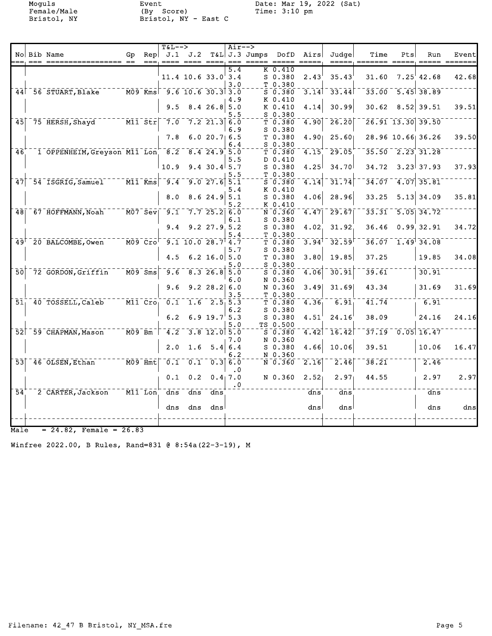Female/Male (By Score) Time: 3:10 pm Female/Male (By Score)<br>Bristol, NY Bristol, NY - East C

Moguls Event Date: Mar 19, 2022 (Sat)

|                 |      |                                                                       |                                                                                                                                |                          | $T&L-->$                                                                            |                                |                                                     | $Air--$   |                 |                                                                                           |                                                                        |                             |                                     |     |                           |       |
|-----------------|------|-----------------------------------------------------------------------|--------------------------------------------------------------------------------------------------------------------------------|--------------------------|-------------------------------------------------------------------------------------|--------------------------------|-----------------------------------------------------|-----------|-----------------|-------------------------------------------------------------------------------------------|------------------------------------------------------------------------|-----------------------------|-------------------------------------|-----|---------------------------|-------|
|                 | $==$ | No Bib Name                                                           | Gp                                                                                                                             | Rep                      | J.1                                                                                 | J.2                            | $= 22.2$                                            | $= -$     | $T&L J.3$ Jumps | DofD<br>$\qquad \qquad \qquad = \qquad \qquad = \qquad$                                   | Airs<br>$\qquad \qquad \doteq\qquad \qquad \doteq\qquad \qquad \qquad$ | Judge                       | Time                                | Pts | Run                       | Event |
|                 |      |                                                                       |                                                                                                                                |                          |                                                                                     |                                |                                                     | 5.4       |                 | K 0.410                                                                                   |                                                                        |                             |                                     |     |                           |       |
|                 |      |                                                                       |                                                                                                                                |                          |                                                                                     | $11.4$ 10.6 33.0 3.4           |                                                     |           |                 | S 0.380                                                                                   | 2.43                                                                   | 35.43                       | 31.60                               |     | $7.25$ <sup>'</sup> 42.68 | 42.68 |
|                 |      |                                                                       |                                                                                                                                |                          |                                                                                     |                                |                                                     | 3.0       |                 | T 0.380                                                                                   |                                                                        |                             |                                     |     |                           |       |
|                 |      | 44 56 STUART, Blake M09 Kms 9.6 10.6 30.3 3.0                         |                                                                                                                                |                          |                                                                                     |                                |                                                     |           |                 | $\overline{S}$ $\overline{0}$ $\overline{.}$ $\overline{3}$ $\overline{8}$ $\overline{0}$ |                                                                        | $3.14$ <sup>-</sup> $33.44$ |                                     |     | $33.00 - 5.45$ 38.89      |       |
|                 |      |                                                                       |                                                                                                                                |                          |                                                                                     |                                |                                                     | 4.9       |                 | K 0.410                                                                                   |                                                                        |                             |                                     |     |                           |       |
|                 |      |                                                                       |                                                                                                                                |                          | 9.5                                                                                 |                                | $8.4$ 26.8 5.0                                      |           |                 | K 0.410                                                                                   | 4.14                                                                   | 30.99                       | 30.62                               |     | $8.52$ 39.51              | 39.51 |
|                 |      |                                                                       |                                                                                                                                |                          |                                                                                     |                                |                                                     | 5.5       |                 | $S$ 0.380                                                                                 |                                                                        |                             |                                     |     |                           |       |
|                 |      | $45$ <sup>-75</sup> HERSH, Shayd <sup>-----</sup> M11 <sup>-Str</sup> |                                                                                                                                |                          | $\bar{7.0}$                                                                         |                                | $7.2$ 21.3 6.0                                      |           |                 | T0.380                                                                                    | 4.90                                                                   | $\overline{26.20}$          |                                     |     | 26.91 13.30 39.50         |       |
|                 |      |                                                                       |                                                                                                                                |                          | 7.8                                                                                 |                                | 6.020.76.5                                          | 6.9       |                 | $S$ 0.380<br>T 0.380                                                                      |                                                                        | $4.90$ 25.60                |                                     |     | 28.96 10.66 36.26         | 39.50 |
|                 |      |                                                                       |                                                                                                                                |                          |                                                                                     |                                |                                                     | 6.4       |                 | $S$ 0.380                                                                                 |                                                                        |                             |                                     |     |                           |       |
| 46 <sup>7</sup> |      | $1$ OPPENHEIM, Greyson M11 Lon 8.2 8.4 24.9 5.0                       |                                                                                                                                |                          |                                                                                     |                                |                                                     |           |                 | T0.380                                                                                    | 4.15                                                                   | 29.05                       |                                     |     | $35.50 - 2.23$ 31.28      |       |
|                 |      |                                                                       |                                                                                                                                |                          |                                                                                     |                                |                                                     | 5.5       |                 | D 0.410                                                                                   |                                                                        |                             |                                     |     |                           |       |
|                 |      |                                                                       |                                                                                                                                |                          | 10.9                                                                                |                                | $9.4$ 30.4 5.7                                      |           |                 | S 0.380                                                                                   | 4.25                                                                   | 34.70                       |                                     |     | $34.72$ $3.23$ 37.93      | 37.93 |
|                 |      |                                                                       |                                                                                                                                |                          |                                                                                     |                                |                                                     | 5.5       |                 | T 0.380                                                                                   |                                                                        |                             |                                     |     |                           |       |
|                 |      | 47 54 ISGRIG, Samuel M11 Kms 9.4                                      |                                                                                                                                |                          |                                                                                     |                                | 9.0 27.6 5.1                                        |           |                 | $5 - 0.380$                                                                               | 4.14                                                                   | 31.74                       | 34.07                               |     | $\overline{4.07}$ 35.81   |       |
|                 |      |                                                                       |                                                                                                                                |                          |                                                                                     |                                |                                                     | 5.4       |                 | K 0.410                                                                                   |                                                                        |                             |                                     |     |                           |       |
|                 |      |                                                                       |                                                                                                                                |                          | 8.0                                                                                 |                                | $8.6$ 24.9 5.1                                      |           |                 | $S$ 0.380                                                                                 | 4.06                                                                   | 28.96                       | 33.25                               |     | $5.13 \mid 34.09$         | 35.81 |
|                 |      |                                                                       |                                                                                                                                |                          |                                                                                     |                                |                                                     | 5.2       |                 | K 0.410                                                                                   |                                                                        |                             |                                     |     |                           |       |
|                 |      | 48 67 HOFFMANN, Noah M07 Sev 9.1 7.7 25.2 6.0                         |                                                                                                                                |                          |                                                                                     |                                |                                                     |           |                 | N 0.360                                                                                   | 4.47                                                                   | 29.67                       |                                     |     | $33.31 - 5.05$ 34.72      |       |
|                 |      |                                                                       |                                                                                                                                |                          |                                                                                     |                                |                                                     | 6.1       |                 | $S$ 0.380                                                                                 |                                                                        |                             |                                     |     |                           |       |
|                 |      |                                                                       |                                                                                                                                |                          | 9.4                                                                                 |                                | $9.2$ $27.9$ $5.2$                                  |           |                 | $S$ 0.380                                                                                 | 4.02                                                                   | 31.92                       | 36.46                               |     | $0.99$ 32.91              | 34.72 |
|                 |      |                                                                       |                                                                                                                                |                          |                                                                                     |                                |                                                     | 5.4       |                 | T 0.380                                                                                   |                                                                        |                             |                                     |     |                           |       |
|                 |      | 49 <sup>+ -</sup> 20 BALCOMBE, Owen                                   | $\bar{\ }$ - $\bar{\texttt{M}}\bar{\texttt{0}}\bar{\texttt{9}}$ - $\bar{\texttt{C}}\bar{\texttt{r}}\bar{\texttt{o}}^{\dagger}$ |                          |                                                                                     | $\overline{9.1}$ 10.0 28.7 4.7 |                                                     |           |                 | $\bar{\tau}$ $\bar{0}$ .380                                                               | $3.94^{\dagger}$                                                       | 32.59                       |                                     |     | $36.07 - 1.49$ $34.08$    |       |
|                 |      |                                                                       |                                                                                                                                |                          |                                                                                     |                                |                                                     | 5.7       |                 | $S_0.380$                                                                                 |                                                                        |                             |                                     |     |                           |       |
|                 |      |                                                                       |                                                                                                                                |                          | 4.5                                                                                 |                                | 6.2 16.0 $5.0$                                      |           |                 | T 0.380                                                                                   | 3.80                                                                   | 19.85                       | 37.25                               |     | 19.85                     | 34.08 |
| $\overline{50}$ |      | 72 GORDON, Griffin                                                    |                                                                                                                                | $\bar{M09}$ $\bar{S}$ ms | $\overline{9.6}$                                                                    |                                | $-8.326.850$                                        | 5.0       |                 | $S$ 0.380<br>$\bar{\mathsf{s}}$ $\bar{\mathsf{o}}$ . 380 $\bar{\mathsf{o}}$               | 4.06                                                                   | $\overline{30.91}$          | $\bar{3}\bar{9}\cdot\bar{6}\bar{1}$ |     | 30.91                     |       |
|                 |      |                                                                       |                                                                                                                                |                          |                                                                                     |                                |                                                     | 6.O       |                 | N 0.360                                                                                   |                                                                        |                             |                                     |     |                           |       |
|                 |      |                                                                       |                                                                                                                                |                          | 9.6                                                                                 |                                | $9.2$ 28.2 6.0                                      |           |                 | N 0.360                                                                                   | 3.49                                                                   | 31.69                       | 43.34                               |     | 31.69                     | 31.69 |
|                 |      |                                                                       |                                                                                                                                |                          |                                                                                     |                                |                                                     | 3.5       |                 | T 0.380                                                                                   |                                                                        |                             |                                     |     |                           |       |
|                 |      | 51 40 TOSSELL, Caleb                                                  |                                                                                                                                |                          | $\overline{M11}$ $\overline{C}$ ro $\overline{O}$ , $\overline{O}$ , $\overline{1}$ |                                | $-1.6 - 2.5 - 5.3$                                  |           |                 | T 0.380                                                                                   | 4.36                                                                   | $\overline{6.91}$           | 41.74                               |     | $-6.91$                   |       |
|                 |      |                                                                       |                                                                                                                                |                          |                                                                                     |                                |                                                     | 6.2       |                 | $S_0.380$                                                                                 |                                                                        |                             |                                     |     |                           |       |
|                 |      |                                                                       |                                                                                                                                |                          | 6.2                                                                                 |                                | $6.9$ 19.7 5.3                                      |           |                 | $S$ 0.380                                                                                 | 4.51                                                                   | 24.16                       | 38.09                               |     | 24.16                     | 24.16 |
|                 |      |                                                                       |                                                                                                                                |                          |                                                                                     |                                |                                                     | 5.0       |                 | TS 0.500                                                                                  |                                                                        |                             |                                     |     |                           |       |
|                 |      | 52 59 CHAPMAN, Mason                                                  | $\overline{M09}$ $\overline{Bm}$                                                                                               |                          | $\overline{4.2}$                                                                    |                                | $\overline{3.8}$ $\overline{12.0}$ $\overline{5.0}$ |           |                 | $5 - 0.380$                                                                               |                                                                        | $4.42$ $16.42$              |                                     |     | $37.19 - 0.05$ 16.47      |       |
|                 |      |                                                                       |                                                                                                                                |                          |                                                                                     |                                |                                                     | 7.0       |                 | N 0.360                                                                                   |                                                                        |                             |                                     |     |                           |       |
|                 |      |                                                                       |                                                                                                                                |                          | 2.0                                                                                 | 1.6                            |                                                     | 5.4   6.4 |                 | $S$ 0.380                                                                                 | 4.66                                                                   | 10.06                       | 39.51                               |     | 10.06                     | 16.47 |
|                 |      |                                                                       |                                                                                                                                |                          |                                                                                     |                                |                                                     | 6.2       |                 | N 0.360                                                                                   |                                                                        |                             |                                     |     |                           |       |
|                 |      | $53$ <sup><math>-46</math></sup> $0$ LSEN, Ethan                      | <sup>--</sup> M09 Hmt                                                                                                          |                          | $\bar{0.1}^{-}$                                                                     |                                | $\overline{0.1}$ $\overline{0.3}$ $\overline{6.0}$  |           |                 | $\bar{\texttt{N}}$ $\bar{\texttt{0}}$ . 360 $\bar{\texttt{0}}$                            | $\overline{2.16}$                                                      | 2.46                        | 38.21                               |     | 2.46                      |       |
|                 |      |                                                                       |                                                                                                                                |                          |                                                                                     |                                |                                                     | $\cdot$ 0 |                 |                                                                                           |                                                                        |                             |                                     |     |                           | 2.97  |
|                 |      |                                                                       |                                                                                                                                |                          | 0.1                                                                                 | 0.2                            |                                                     | 0.4, 7.0  |                 | N 0.360                                                                                   | 2.52                                                                   | 2.97                        | 44.55                               |     | 2.97                      |       |
| $\bar{54}$      |      | 2 CARTER, Jackson                                                     | $\overline{M11}$ Lon $\overline{N}$                                                                                            |                          | $\bar{d}$ ns                                                                        | dns                            | dns                                                 | $\cdot$ 0 |                 |                                                                                           | dns                                                                    | $\bar{d}$ ns                |                                     |     | dns                       |       |
|                 |      |                                                                       |                                                                                                                                |                          |                                                                                     |                                |                                                     |           |                 |                                                                                           |                                                                        |                             |                                     |     |                           |       |
|                 |      |                                                                       |                                                                                                                                |                          | dns                                                                                 | dns                            | dnsl                                                |           |                 |                                                                                           | dns                                                                    | dns                         |                                     |     | dns                       | dns   |
|                 |      |                                                                       |                                                                                                                                |                          |                                                                                     |                                |                                                     |           |                 |                                                                                           |                                                                        |                             |                                     |     |                           |       |
|                 |      |                                                                       |                                                                                                                                |                          |                                                                                     |                                |                                                     |           |                 |                                                                                           |                                                                        |                             |                                     |     |                           |       |

 $Male = 24.82$ , Female = 26.83

Winfree 2022.00, B Rules, Rand=831 @ 8:54a(22-3-19), M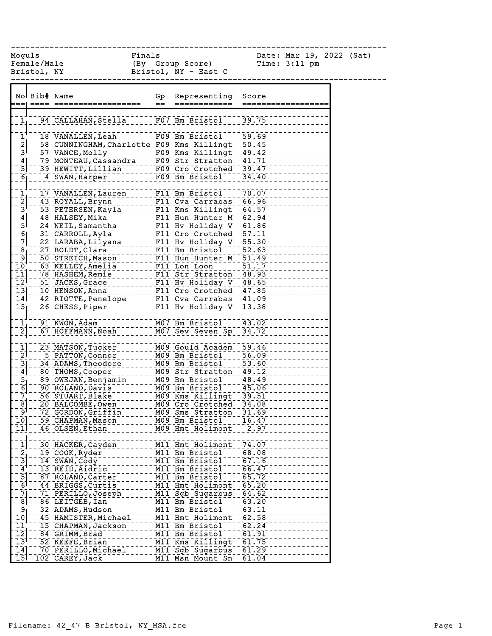------------------------------------------------------------------------------

Female/Male (By Group Score) Time: 3:11 pm Bristol, NY Bristol, NY - East C

Moguls Finals Date: Mar 19, 2022 (Sat)

|                                                       | No Bib# Name |                                                                                                    | Gp  | Representing                                       | Score      |
|-------------------------------------------------------|--------------|----------------------------------------------------------------------------------------------------|-----|----------------------------------------------------|------------|
|                                                       |              |                                                                                                    | $=$ | ============                                       | ========== |
|                                                       |              |                                                                                                    |     |                                                    |            |
| $\mathbf{1}_{\perp}$                                  |              | 94 CALLAHAN, Stella F07 Bm Bristol 39.75                                                           |     |                                                    |            |
|                                                       |              |                                                                                                    |     |                                                    |            |
| $\mathbf{1}^{\mathbf{+}}$                             |              | 18 VANALLEN, Leah                                                                                  |     | F09 Bm Bristol <sup>-+</sup>                       | $-59.69$   |
| $\bar{2}$                                             |              |                                                                                                    |     |                                                    |            |
| $\bar{3}$                                             |              | 58 CUNNINGHAM, Charlotte F09 Kms Killingt 50.45<br>57 VANCE, Molly ________ F09 Kms Killingt 49.42 |     |                                                    |            |
|                                                       |              | 79 MONTEAU Cassandra F09 Str Stratton 11.71                                                        |     |                                                    |            |
| $\begin{array}{c} \boxed{4} \\ \boxed{5} \end{array}$ |              | 39 HEWITT, Lillian                                                                                 |     | F09 Cro Crotched 39.47                             |            |
| $\overline{6}$                                        |              | 4 SWAN, Harper                                                                                     |     | $F09$ Bm Bristol                                   | 34.40      |
|                                                       |              |                                                                                                    |     |                                                    |            |
|                                                       |              | 17 VANALLEN, Lauren                                                                                |     |                                                    | 70.07      |
| $\frac{1}{2}$                                         |              | 43 ROYALL, Brynn                                                                                   |     | F11 Bm Bristol <sup>--+</sup><br>F11 Cva Carrabas  | $-66.96$   |
| $\bar{3}^{\dagger}$                                   |              | 53 PETERSEN, Kayla                                                                                 |     | $F11$ Kms Killingt <sup>†</sup>                    | $-64.57$   |
|                                                       |              |                                                                                                    |     |                                                    |            |
| $\begin{bmatrix} 4 \\ 5 \\ 6 \end{bmatrix}$           |              | 48 HALSEY, Mika                                                                                    |     | F11 Hun Hunter M 62.94                             |            |
|                                                       |              | 24 NEIL, Samantha                                                                                  |     | F11 Hv Holiday V 61.86                             |            |
|                                                       |              | 31 CARROLL, Ayla                                                                                   |     | F11 Cro Crotched                                   | $-57.11$   |
| $\overline{7}$                                        |              | 22 LARABA, Lilyana                                                                                 |     | F11 Hv Holiday V 55.30                             |            |
| $\overline{8}$                                        |              | 27 BOLDT, Clara                                                                                    |     | F11 Bm Bristol <sup>--</sup>                       | 52.63      |
| $\overline{9}$                                        |              | 50 STREICH, Mason                                                                                  |     | F11 Hun Hunter M                                   | $-51.49$   |
| $\bar{1}\bar{0}$ ,                                    |              | 63 KELLEY, Amelia                                                                                  |     | FII Lon Loon                                       | 51.17      |
| 11]                                                   |              | 78 HASHEM, Remie                                                                                   |     | F11 Str_Stratton 48.93                             |            |
| $\overline{1}\overline{2}^{\overline{1}}$             |              | 51 JACKS, Grace                                                                                    |     | F11 Hv Holiday $V$ <sup>+</sup> 48.65              |            |
| $\overline{13}$                                       |              | 10 HENSON, Anna                                                                                    |     | F11 Cro Crotched 47.85                             |            |
| $\overline{1}\overline{4}$                            |              | 42 RIOTTE, Penelope                                                                                |     | F11 Cva Carrabas 41.09                             |            |
| $\overline{15}$                                       |              | 26 CHESS, Piper                                                                                    |     | $\overline{F11}$ Hv Holiday $\overline{V}_1$ 13.38 |            |
|                                                       |              |                                                                                                    |     |                                                    |            |
|                                                       |              | 91 KWON, Adam                                                                                      |     | M07 Bm Bristol                                     | 43.02      |
| $\begin{bmatrix} 1 \\ 2 \end{bmatrix}$                |              | 67 HOFFMANN, Noah                                                                                  |     |                                                    | 34.72      |
|                                                       |              |                                                                                                    |     | M07 Sev Seven Sp                                   |            |
|                                                       |              |                                                                                                    |     |                                                    |            |
| $\frac{1}{2}$                                         |              | 23 MATSON, Tucker                                                                                  |     | M09 Gould Academ 59.46                             |            |
|                                                       |              | 5 PATTON, Connor                                                                                   |     | M09 Bm Bristol <sup>-1</sup>                       | 56.09      |
| $\begin{bmatrix} 3 \\ 4 \end{bmatrix}$                |              | 34 ADAMS, Theodore                                                                                 |     | M09 Bm Bristol                                     | 53.60      |
|                                                       |              | 80 THOMS, Cooper                                                                                   |     | M09 Str Stratton 49.12                             |            |
| $\frac{5}{6}$                                         |              | 89 OWEJAN, Benjamin                                                                                |     | M09 Bm Bristol                                     | $-48.49$   |
|                                                       |              | 90 ROLAND, Davis                                                                                   |     | M09 Bm Bristol                                     | $-45.06$   |
| $\begin{bmatrix} 7 \\ 8 \end{bmatrix}$                |              | 56 STUART, Blake                                                                                   |     | M09 Kms Killingt 39.51<br>M09 Cro Crotched 34.08   |            |
|                                                       |              | 20 BALCOMBE, Owen                                                                                  |     |                                                    |            |
| ⊺و⊺                                                   |              | 72 GORDON, Griffin                                                                                 |     | M09 Sms Stratton                                   | $-31.69$   |
| $\overline{10}$                                       |              | 59 CHAPMAN, Mason                                                                                  |     | M09 Bm Bristol                                     | 16.47      |
| 11                                                    |              | 46 OLSEN, Ethan                                                                                    |     | M09 Hmt Holimont                                   | 2.97       |
|                                                       |              |                                                                                                    |     |                                                    |            |
| $\overline{1}$                                        |              | 30 HACKER, Cayden                                                                                  |     | M11 Hmt Holimont                                   | 74.07      |
|                                                       |              | 19 COOK, Ryder                                                                                     |     | M11 Bm Bristol                                     | 68.08      |
| $\frac{2}{3}$                                         |              | 14 SWAN, Cody                                                                                      |     | M11 Bm Bristol                                     | 67.16      |
| $\overline{4}$                                        |              | 13 REID, Aidric                                                                                    |     | M11 Bm Bristol                                     | 66.47      |
|                                                       |              |                                                                                                    |     |                                                    |            |
| $\frac{5}{6}$                                         |              | 87 ROLAND, Carter                                                                                  |     | M11 Bm Bristol                                     | 65.72      |
|                                                       |              | 44 BRIGGS, Curtis                                                                                  |     | M11 Hmt Holimont                                   | 65.20      |
| $\bar{7}$                                             |              | 71 PERILLO, Joseph                                                                                 |     | M11 Sgb Sugarbus                                   | 64.62      |
| $\overline{8}$                                        |              | 86 LEITGEB, Ian                                                                                    |     | M11 Bm Bristol                                     | 63.20      |
| 9 <sub>1</sub>                                        |              | 32 ADAMS, Hudson                                                                                   |     | M11 Bm Bristol                                     | 63.11      |
| $\bar{1}\bar{0}$                                      |              | 45 HAMISTER, Michael                                                                               |     | M11 Hmt Holimont                                   | 62.58      |
| $\overline{11}$                                       |              | 15 CHAPMAN, Jackson                                                                                |     | M11 Bm Bristol                                     | 62.24      |
| $\overline{1}\overline{2}$                            |              | 84 GRIMM, Brad                                                                                     |     | M11 Bm Bristol                                     | 61.91      |
| $\bar{1}3^{\bar{1}}$                                  |              | 52 KEEFE, Brian                                                                                    |     | M11 Kms Killingt                                   | 61.75      |
| 14                                                    |              | 70 PERILLO, Michael                                                                                |     | M11 Sgb Sugarbus                                   | 61.29      |
| $\overline{15}$                                       |              | 102 CAREY, Jack                                                                                    |     | M11 Msn Mount Sn                                   | 61.04      |
|                                                       |              |                                                                                                    |     |                                                    |            |